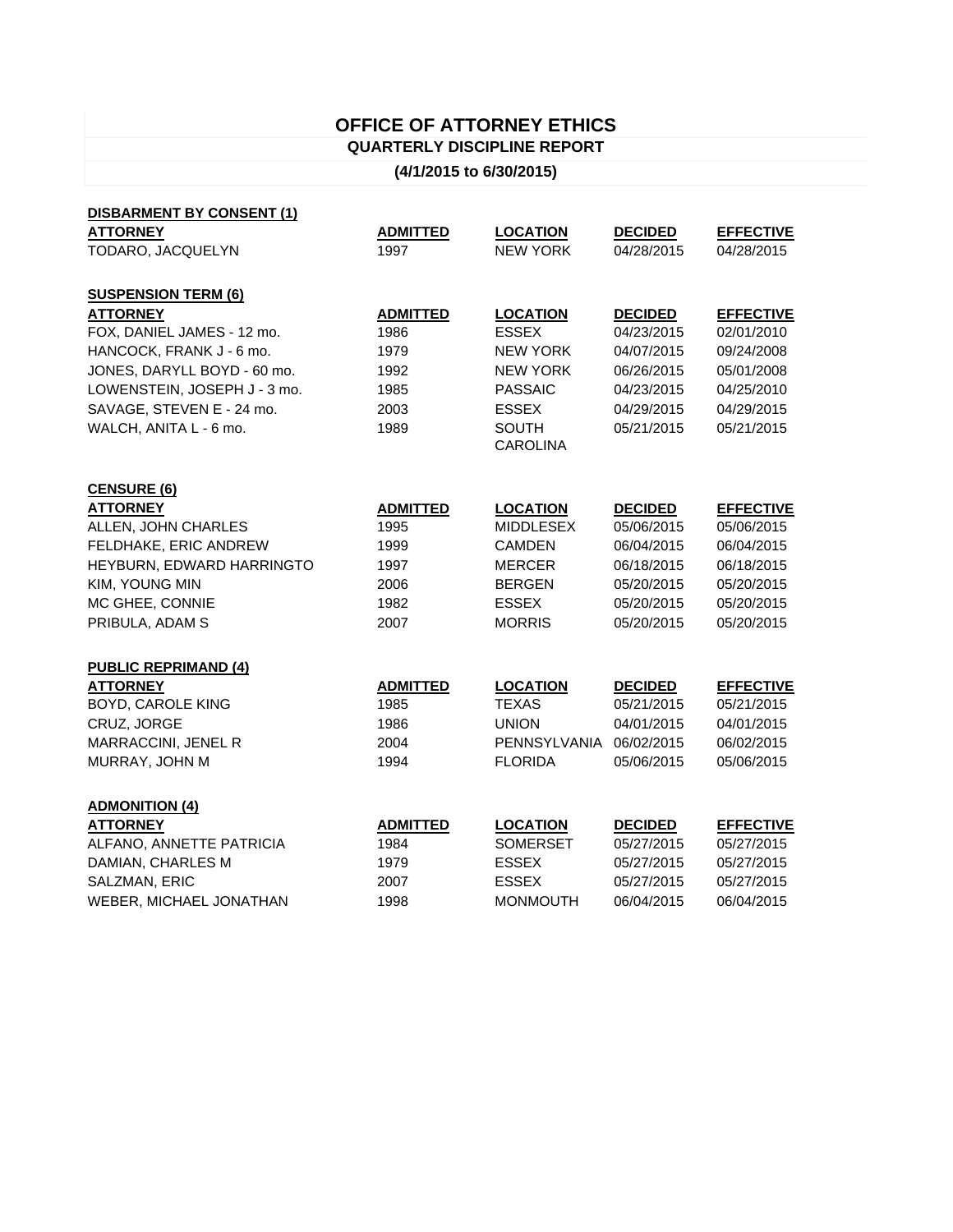## **OFFICE OF ATTORNEY ETHICS QUARTERLY DISCIPLINE REPORT**

## **(4/1/2015 to 6/30/2015)**

| <b>DISBARMENT BY CONSENT (1)</b> |                 |                         |                |                  |
|----------------------------------|-----------------|-------------------------|----------------|------------------|
| <b>ATTORNEY</b>                  | <b>ADMITTED</b> | <b>LOCATION</b>         | <b>DECIDED</b> | <b>EFFECTIVE</b> |
| TODARO, JACQUELYN                | 1997            | <b>NEW YORK</b>         | 04/28/2015     | 04/28/2015       |
|                                  |                 |                         |                |                  |
| <b>SUSPENSION TERM (6)</b>       |                 |                         |                |                  |
| <b>ATTORNEY</b>                  | <b>ADMITTED</b> | <b>LOCATION</b>         | <b>DECIDED</b> | <b>EFFECTIVE</b> |
| FOX, DANIEL JAMES - 12 mo.       | 1986            | <b>ESSEX</b>            | 04/23/2015     | 02/01/2010       |
| HANCOCK, FRANK J - 6 mo.         | 1979            | <b>NEW YORK</b>         | 04/07/2015     | 09/24/2008       |
| JONES, DARYLL BOYD - 60 mo.      | 1992            | <b>NEW YORK</b>         | 06/26/2015     | 05/01/2008       |
| LOWENSTEIN, JOSEPH J - 3 mo.     | 1985            | <b>PASSAIC</b>          | 04/23/2015     | 04/25/2010       |
| SAVAGE, STEVEN E - 24 mo.        | 2003            | <b>ESSEX</b>            | 04/29/2015     | 04/29/2015       |
| WALCH, ANITA L - 6 mo.           | 1989            | <b>SOUTH</b>            | 05/21/2015     | 05/21/2015       |
|                                  |                 | <b>CAROLINA</b>         |                |                  |
|                                  |                 |                         |                |                  |
| <b>CENSURE (6)</b>               |                 |                         |                |                  |
| <b>ATTORNEY</b>                  | <b>ADMITTED</b> | <b>LOCATION</b>         | <b>DECIDED</b> | <b>EFFECTIVE</b> |
| ALLEN, JOHN CHARLES              | 1995            | <b>MIDDLESEX</b>        | 05/06/2015     | 05/06/2015       |
| FELDHAKE, ERIC ANDREW            | 1999            | <b>CAMDEN</b>           | 06/04/2015     | 06/04/2015       |
| HEYBURN, EDWARD HARRINGTO        | 1997            | <b>MERCER</b>           | 06/18/2015     | 06/18/2015       |
| KIM, YOUNG MIN                   | 2006            | <b>BERGEN</b>           | 05/20/2015     | 05/20/2015       |
| MC GHEE, CONNIE                  | 1982            | <b>ESSEX</b>            | 05/20/2015     | 05/20/2015       |
| PRIBULA, ADAM S                  | 2007            | <b>MORRIS</b>           | 05/20/2015     | 05/20/2015       |
|                                  |                 |                         |                |                  |
| <b>PUBLIC REPRIMAND (4)</b>      |                 |                         |                |                  |
| <b>ATTORNEY</b>                  | <b>ADMITTED</b> | <b>LOCATION</b>         | <b>DECIDED</b> | <b>EFFECTIVE</b> |
| <b>BOYD, CAROLE KING</b>         | 1985            | <b>TEXAS</b>            | 05/21/2015     | 05/21/2015       |
| CRUZ, JORGE                      | 1986            | <b>UNION</b>            | 04/01/2015     | 04/01/2015       |
| MARRACCINI, JENEL R              | 2004            | PENNSYLVANIA 06/02/2015 |                | 06/02/2015       |
| MURRAY, JOHN M                   | 1994            | <b>FLORIDA</b>          | 05/06/2015     | 05/06/2015       |
|                                  |                 |                         |                |                  |
| <b>ADMONITION (4)</b>            |                 |                         |                |                  |
| <b>ATTORNEY</b>                  | <b>ADMITTED</b> | <b>LOCATION</b>         | <b>DECIDED</b> | <b>EFFECTIVE</b> |
| ALFANO, ANNETTE PATRICIA         | 1984            | <b>SOMERSET</b>         | 05/27/2015     | 05/27/2015       |
| DAMIAN, CHARLES M                | 1979            | <b>ESSEX</b>            | 05/27/2015     | 05/27/2015       |
| SALZMAN, ERIC                    | 2007            | <b>ESSEX</b>            | 05/27/2015     | 05/27/2015       |
| WEBER, MICHAEL JONATHAN          | 1998            | <b>MONMOUTH</b>         | 06/04/2015     | 06/04/2015       |